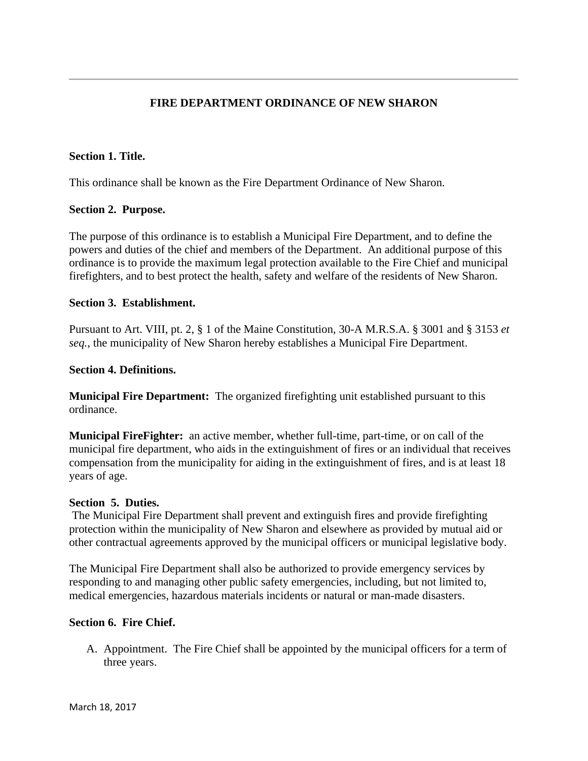# **FIRE DEPARTMENT ORDINANCE OF NEW SHARON**

### **Section 1. Title.**

This ordinance shall be known as the Fire Department Ordinance of New Sharon.

## **Section 2. Purpose.**

The purpose of this ordinance is to establish a Municipal Fire Department, and to define the powers and duties of the chief and members of the Department. An additional purpose of this ordinance is to provide the maximum legal protection available to the Fire Chief and municipal firefighters, and to best protect the health, safety and welfare of the residents of New Sharon.

### **Section 3. Establishment.**

Pursuant to Art. VIII, pt. 2, § 1 of the Maine Constitution, 30-A M.R.S.A. § 3001 and § 3153 *et seq.*, the municipality of New Sharon hereby establishes a Municipal Fire Department.

### **Section 4. Definitions.**

**Municipal Fire Department:** The organized firefighting unit established pursuant to this ordinance.

**Municipal FireFighter:** an active member, whether full-time, part-time, or on call of the municipal fire department, who aids in the extinguishment of fires or an individual that receives compensation from the municipality for aiding in the extinguishment of fires, and is at least 18 years of age.

### **Section 5. Duties.**

The Municipal Fire Department shall prevent and extinguish fires and provide firefighting protection within the municipality of New Sharon and elsewhere as provided by mutual aid or other contractual agreements approved by the municipal officers or municipal legislative body.

The Municipal Fire Department shall also be authorized to provide emergency services by responding to and managing other public safety emergencies, including, but not limited to, medical emergencies, hazardous materials incidents or natural or man-made disasters.

### **Section 6. Fire Chief.**

A. Appointment. The Fire Chief shall be appointed by the municipal officers for a term of three years.